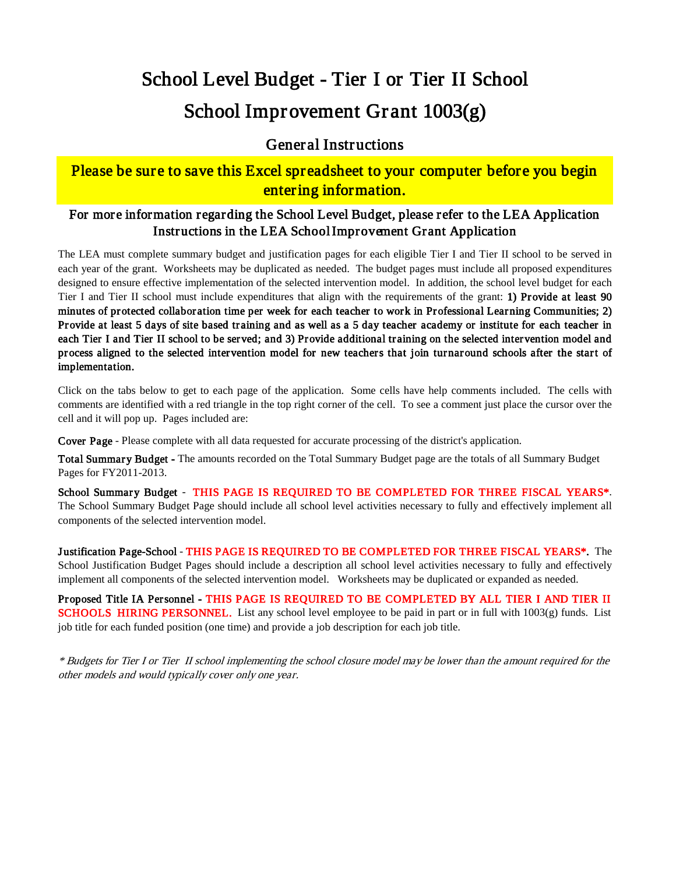# School Level Budget - Tier I or Tier II School School Improvement Grant 1003(g)

#### General Instructions

### Please be sure to save this Excel spreadsheet to your computer before you begin entering information.

#### For more information regarding the School Level Budget, please refer to the LEA Application Instructions in the LEA School Improvement Grant Application

The LEA must complete summary budget and justification pages for each eligible Tier I and Tier II school to be served in each year of the grant. Worksheets may be duplicated as needed. The budget pages must include all proposed expenditures designed to ensure effective implementation of the selected intervention model. In addition, the school level budget for each Tier I and Tier II school must include expenditures that align with the requirements of the grant: 1) Provide at least 90 minutes of protected collaboration time per week for each teacher to work in Professional Learning Communities; 2) Provide at least 5 days of site based training and as well as a 5 day teacher academy or institute for each teacher in each Tier I and Tier II school to be served; and 3) Provide additional training on the selected intervention model and process aligned to the selected intervention model for new teachers that join turnaround schools after the start of implementation.

Click on the tabs below to get to each page of the application. Some cells have help comments included. The cells with comments are identified with a red triangle in the top right corner of the cell. To see a comment just place the cursor over the cell and it will pop up. Pages included are:

Cover Page - Please complete with all data requested for accurate processing of the district's application.

Total Summary Budget - The amounts recorded on the Total Summary Budget page are the totals of all Summary Budget Pages for FY2011-2013.

School Summary Budget - THIS PAGE IS REQUIRED TO BE COMPLETED FOR THREE FISCAL YEARS\*. The School Summary Budget Page should include all school level activities necessary to fully and effectively implement all components of the selected intervention model.

Justification Page-School - THIS PAGE IS REQUIRED TO BE COMPLETED FOR THREE FISCAL YEARS\*. The School Justification Budget Pages should include a description all school level activities necessary to fully and effectively implement all components of the selected intervention model. Worksheets may be duplicated or expanded as needed.

Proposed Title IA Personnel - THIS PAGE IS REQUIRED TO BE COMPLETED BY ALL TIER I AND TIER II **SCHOOLS HIRING PERSONNEL.** List any school level employee to be paid in part or in full with  $1003(g)$  funds. List job title for each funded position (one time) and provide a job description for each job title.

\* Budgets for Tier I or Tier II school implementing the school closure model may be lower than the amount required for the other models and would typically cover only one year.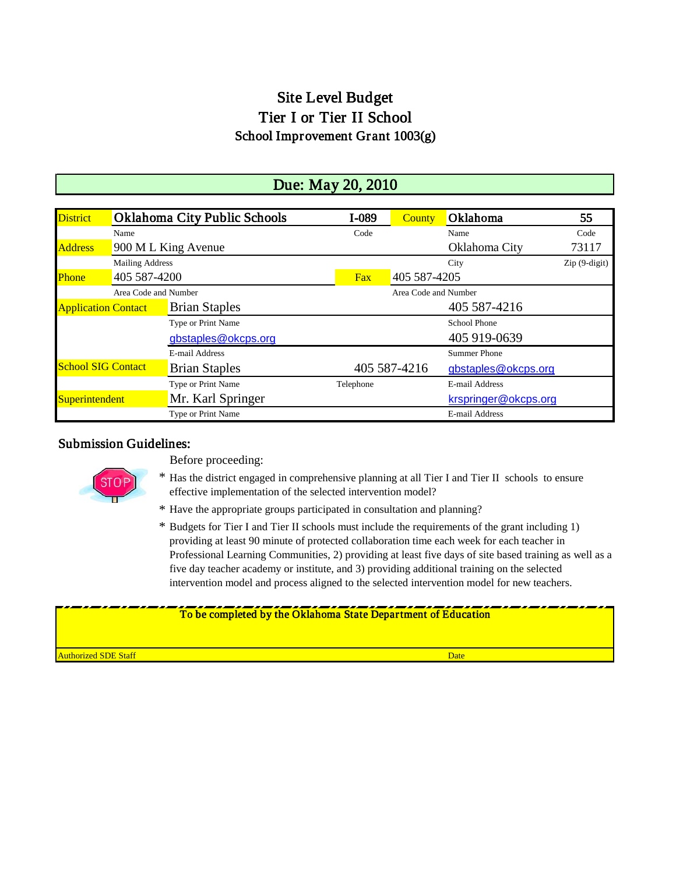## Site Level Budget Tier I or Tier II School School Improvement Grant 1003(g)

### Due: May 20, 2010

| <b>District</b>            |                        | <b>Oklahoma City Public Schools</b> | I-089                | County                 | Oklahoma             | 55    |  |  |  |
|----------------------------|------------------------|-------------------------------------|----------------------|------------------------|----------------------|-------|--|--|--|
|                            | Name                   |                                     | Code                 |                        | Name                 | Code  |  |  |  |
| <b>Address</b>             |                        | 900 M L King Avenue                 |                      |                        | Oklahoma City        | 73117 |  |  |  |
|                            | <b>Mailing Address</b> |                                     |                      | $Zip(9-digit)$<br>City |                      |       |  |  |  |
| Phone                      | 405 587-4200           |                                     | Fax                  |                        | 405 587-4205         |       |  |  |  |
|                            | Area Code and Number   |                                     | Area Code and Number |                        |                      |       |  |  |  |
| <b>Application Contact</b> |                        | <b>Brian Staples</b>                |                      |                        | 405 587-4216         |       |  |  |  |
|                            |                        | Type or Print Name                  |                      |                        | <b>School Phone</b>  |       |  |  |  |
|                            |                        | gbstaples@okcps.org                 |                      |                        | 405 919-0639         |       |  |  |  |
|                            |                        | E-mail Address                      |                      |                        | <b>Summer Phone</b>  |       |  |  |  |
| <b>School SIG Contact</b>  |                        | <b>Brian Staples</b>                |                      | 405 587-4216           | gbstaples@okcps.org  |       |  |  |  |
|                            |                        | Type or Print Name                  | Telephone            |                        | E-mail Address       |       |  |  |  |
| Superintendent             |                        | Mr. Karl Springer                   |                      |                        | krspringer@okcps.org |       |  |  |  |
|                            |                        | Type or Print Name                  |                      |                        | E-mail Address       |       |  |  |  |

#### Submission Guidelines:



Before proceeding:

- \* Has the district engaged in comprehensive planning at all Tier I and Tier II schools to ensure effective implementation of the selected intervention model?
- \* Have the appropriate groups participated in consultation and planning?
- \* Budgets for Tier I and Tier II schools must include the requirements of the grant including 1) providing at least 90 minute of protected collaboration time each week for each teacher in Professional Learning Communities, 2) providing at least five days of site based training as well as a five day teacher academy or institute, and 3) providing additional training on the selected intervention model and process aligned to the selected intervention model for new teachers.

# To be completed by the Oklahoma State Department of Education

**Authorized SDE Staff Date of the Contract Contract Contract Contract Contract Contract Contract Contract Date D**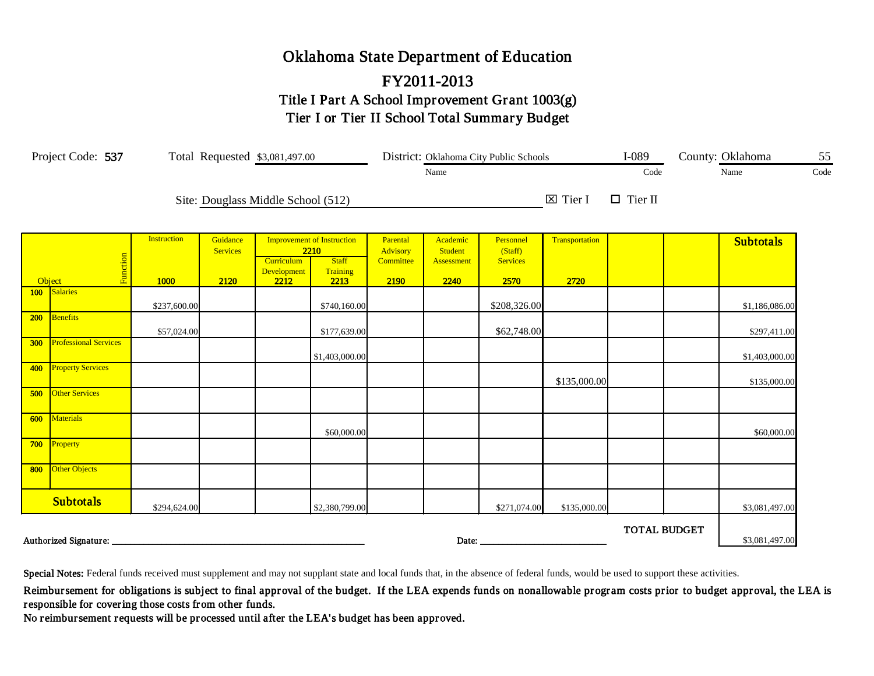## Oklahoma State Department of Education FY2011-2013 Title I Part A School Improvement Grant 1003(g) Tier I or Tier II School Total Summary Budget

|     | Project Code: 537            |                    |                             | Total Requested \$3,081,497.00     |                                                                       |                                   |                                   | District: Oklahoma City Public Schools  |                    | $I-089$             |  | County: Oklahoma | 55   |
|-----|------------------------------|--------------------|-----------------------------|------------------------------------|-----------------------------------------------------------------------|-----------------------------------|-----------------------------------|-----------------------------------------|--------------------|---------------------|--|------------------|------|
|     |                              |                    |                             |                                    |                                                                       |                                   | Name                              |                                         |                    | Code                |  | Name             | Code |
|     |                              |                    |                             | Site: Douglass Middle School (512) |                                                                       |                                   |                                   |                                         | $\boxtimes$ Tier I | $\Box$ Tier II      |  |                  |      |
|     | Function                     | <b>Instruction</b> | Guidance<br><b>Services</b> | Curriculum<br>Development          | <b>Improvement of Instruction</b><br>2210<br><b>Staff</b><br>Training | Parental<br>Advisory<br>Committee | Academic<br>Student<br>Assessment | Personnel<br>(Staff)<br><b>Services</b> | Transportation     |                     |  | <b>Subtotals</b> |      |
|     | Object<br>100 Salaries       | 1000               | 2120                        | 2212                               | 2213                                                                  | 2190                              | 2240                              | 2570                                    | 2720               |                     |  |                  |      |
|     |                              | \$237,600.00       |                             |                                    | \$740,160.00                                                          |                                   |                                   | \$208,326.00                            |                    |                     |  | \$1,186,086.00   |      |
| 200 | Benefits                     | \$57,024.00        |                             |                                    | \$177,639.00                                                          |                                   |                                   | \$62,748.00                             |                    |                     |  | \$297,411.00     |      |
| 300 | <b>Professional Services</b> |                    |                             |                                    | \$1,403,000.00                                                        |                                   |                                   |                                         |                    |                     |  | \$1,403,000.00   |      |
| 400 | <b>Property Services</b>     |                    |                             |                                    |                                                                       |                                   |                                   |                                         | \$135,000.00       |                     |  | \$135,000.00     |      |
| 500 | <b>Other Services</b>        |                    |                             |                                    |                                                                       |                                   |                                   |                                         |                    |                     |  |                  |      |
| 600 | <b>Materials</b>             |                    |                             |                                    | \$60,000.00                                                           |                                   |                                   |                                         |                    |                     |  | \$60,000.00      |      |
|     | 700 Property                 |                    |                             |                                    |                                                                       |                                   |                                   |                                         |                    |                     |  |                  |      |
| 800 | Other Objects                |                    |                             |                                    |                                                                       |                                   |                                   |                                         |                    |                     |  |                  |      |
|     | <b>Subtotals</b>             | \$294,624.00       |                             |                                    | \$2,380,799.00                                                        |                                   |                                   | \$271,074.00                            | \$135,000.00       |                     |  | \$3,081,497.00   |      |
|     | Authorized Signature: _      |                    |                             |                                    |                                                                       |                                   | Date: _                           |                                         |                    | <b>TOTAL BUDGET</b> |  | \$3,081,497.00   |      |

Special Notes: Federal funds received must supplement and may not supplant state and local funds that, in the absence of federal funds, would be used to support these activities.

Reimbursement for obligations is subject to final approval of the budget. If the LEA expends funds on nonallowable program costs prior to budget approval, the LEA is responsible for covering those costs from other funds.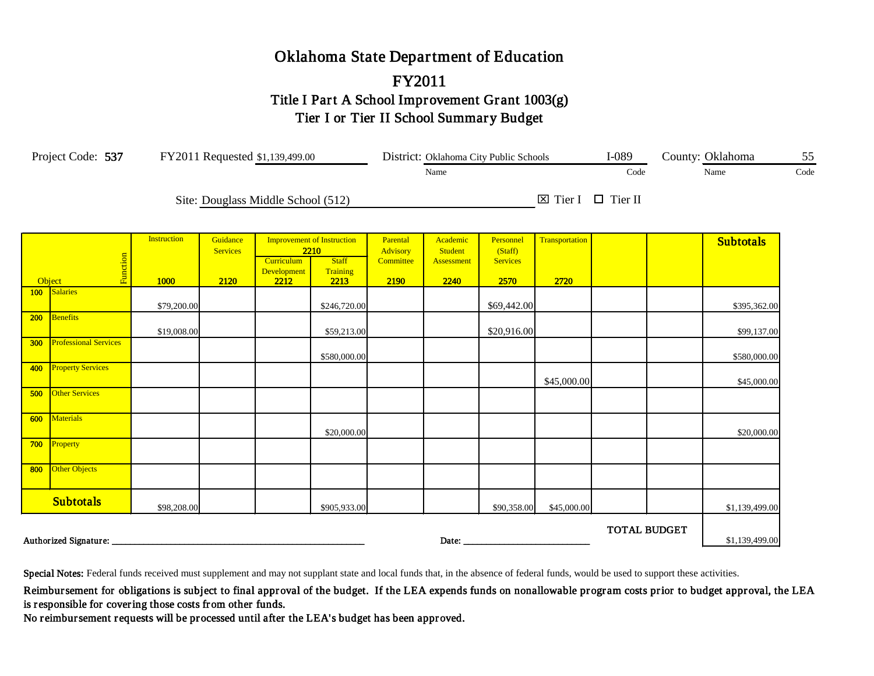## Oklahoma State Department of Education Title I Part A School Improvement Grant 1003(g) Tier I or Tier II School Summary Budget FY2011

|        | Project Code: 537 FY2011 Requested \$1,139,499.00 |                    |                             |                                    |                                           |                      | District: Oklahoma City Public Schools |                         | $I-089$                           |                     | County: Oklahoma | 55               |  |
|--------|---------------------------------------------------|--------------------|-----------------------------|------------------------------------|-------------------------------------------|----------------------|----------------------------------------|-------------------------|-----------------------------------|---------------------|------------------|------------------|--|
|        |                                                   |                    | Name                        |                                    |                                           |                      |                                        |                         | Code                              |                     | Name             | Code             |  |
|        |                                                   |                    |                             | Site: Douglass Middle School (512) |                                           |                      |                                        |                         | $\boxtimes$ Tier I $\Box$ Tier II |                     |                  |                  |  |
|        |                                                   | <b>Instruction</b> | Guidance<br><b>Services</b> |                                    | <b>Improvement of Instruction</b><br>2210 | Parental<br>Advisory | Academic<br><b>Student</b>             | Personnel<br>(Staff)    | Transportation                    |                     |                  | <b>Subtotals</b> |  |
| Object | Function                                          | 1000               | 2120                        | Curriculum<br>Development<br>2212  | <b>Staff</b><br>Training<br>2213          | Committee<br>2190    | Assessment<br>2240                     | <b>Services</b><br>2570 | 2720                              |                     |                  |                  |  |
| 100    | <b>Salaries</b>                                   | \$79,200.00        |                             |                                    | \$246,720.00                              |                      |                                        | \$69,442.00             |                                   |                     |                  | \$395,362.00     |  |
| 200    | Benefits                                          | \$19,008.00        |                             |                                    | \$59,213.00                               |                      |                                        | \$20,916.00             |                                   |                     |                  | \$99,137.00      |  |
| 300    | <b>Professional Services</b>                      |                    |                             |                                    | \$580,000.00                              |                      |                                        |                         |                                   |                     |                  | \$580,000.00     |  |
| 400    | <b>Property Services</b>                          |                    |                             |                                    |                                           |                      |                                        |                         | \$45,000.00                       |                     |                  | \$45,000.00      |  |
| 500    | <b>Other Services</b>                             |                    |                             |                                    |                                           |                      |                                        |                         |                                   |                     |                  |                  |  |
| 600    | Materials                                         |                    |                             |                                    | \$20,000.00                               |                      |                                        |                         |                                   |                     |                  | \$20,000.00      |  |
| 700    | Property                                          |                    |                             |                                    |                                           |                      |                                        |                         |                                   |                     |                  |                  |  |
| 800    | Other Objects                                     |                    |                             |                                    |                                           |                      |                                        |                         |                                   |                     |                  |                  |  |
|        | <b>Subtotals</b>                                  | \$98,208.00        |                             |                                    | \$905,933.00                              |                      |                                        | \$90,358.00             | \$45,000.00                       |                     |                  | \$1,139,499.00   |  |
|        | Authorized Signature:                             |                    |                             |                                    |                                           |                      | Date:                                  |                         |                                   | <b>TOTAL BUDGET</b> |                  | \$1,139,499.00   |  |

Special Notes: Federal funds received must supplement and may not supplant state and local funds that, in the absence of federal funds, would be used to support these activities.

Reimbursement for obligations is subject to final approval of the budget. If the LEA expends funds on nonallowable program costs prior to budget approval, the LEA is responsible for covering those costs from other funds.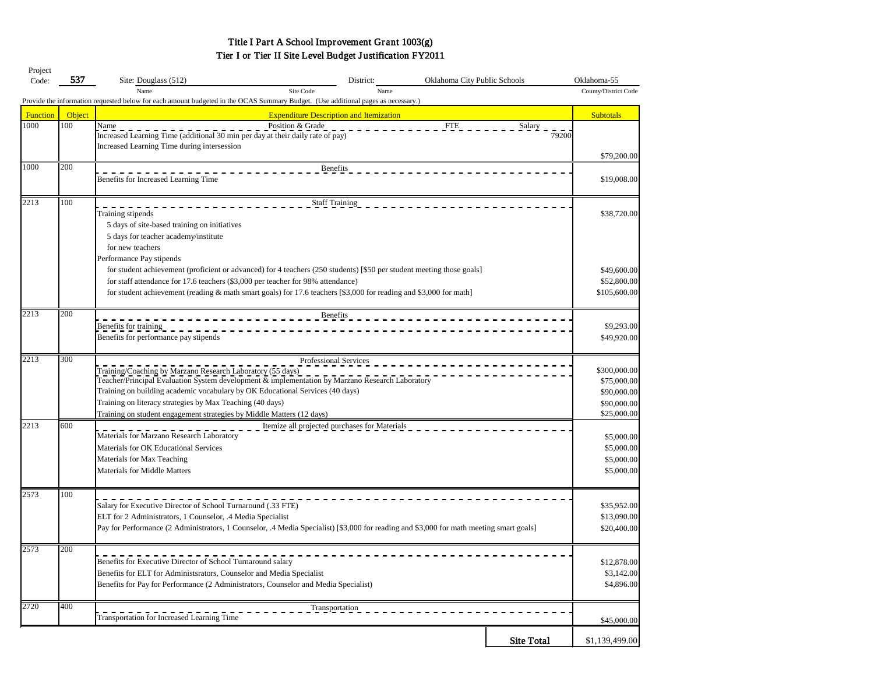## Tier I or Tier II Site Level Budget Justification FY2011 Title I Part A School Improvement Grant 1003(g)

| Project  |                  |                                                                                                                                                               |      |                              |                   |                      |
|----------|------------------|---------------------------------------------------------------------------------------------------------------------------------------------------------------|------|------------------------------|-------------------|----------------------|
| Code:    | 537              | Site: Douglass (512)<br>District:                                                                                                                             |      | Oklahoma City Public Schools |                   | Oklahoma-55          |
|          |                  | Site Code<br>Name                                                                                                                                             | Name |                              |                   | County/District Code |
|          |                  | Provide the information requested below for each amount budgeted in the OCAS Summary Budget. (Use additional pages as necessary.)                             |      |                              |                   |                      |
| Function | Object           | <b>Expenditure Description and Itemization</b>                                                                                                                |      |                              |                   | <b>Subtotals</b>     |
| 1000     | 100              | Name<br>Position & Grade                                                                                                                                      |      | <b>FTE</b>                   | Salary            |                      |
|          |                  | Increased Learning Time (additional 30 min per day at their daily rate of pay)<br>Increased Learning Time during intersession                                 |      |                              | 79200             |                      |
|          |                  |                                                                                                                                                               |      |                              |                   | \$79,200.00          |
| 1000     | 200              | <b>Benefits</b>                                                                                                                                               |      |                              |                   |                      |
|          |                  | Benefits for Increased Learning Time                                                                                                                          |      |                              |                   | \$19,008.00          |
|          |                  |                                                                                                                                                               |      |                              |                   |                      |
| 2213     | 100              | <b>Staff Training</b>                                                                                                                                         |      |                              |                   |                      |
|          |                  | Training stipends                                                                                                                                             |      |                              |                   | \$38,720.00          |
|          |                  | 5 days of site-based training on initiatives                                                                                                                  |      |                              |                   |                      |
|          |                  | 5 days for teacher academy/institute                                                                                                                          |      |                              |                   |                      |
|          |                  | for new teachers                                                                                                                                              |      |                              |                   |                      |
|          |                  | Performance Pay stipends                                                                                                                                      |      |                              |                   |                      |
|          |                  | for student achievement (proficient or advanced) for 4 teachers (250 students) [\$50 per student meeting those goals]                                         |      |                              |                   | \$49,600.00          |
|          |                  | for staff attendance for 17.6 teachers (\$3,000 per teacher for 98% attendance)                                                                               |      |                              |                   | \$52,800.00          |
|          |                  | for student achievement (reading $\&$ math smart goals) for 17.6 teachers [\$3,000 for reading and \$3,000 for math]                                          |      |                              |                   | \$105,600.00         |
|          |                  |                                                                                                                                                               |      |                              |                   |                      |
| 2213     | $\overline{200}$ | Benefits                                                                                                                                                      |      |                              |                   |                      |
|          |                  | Benefits for training                                                                                                                                         |      |                              |                   | \$9,293.00           |
|          |                  | Benefits for performance pay stipends                                                                                                                         |      |                              |                   | \$49,920.00          |
|          |                  |                                                                                                                                                               |      |                              |                   |                      |
| 2213     | 300              | Professional Services                                                                                                                                         |      |                              |                   | \$300,000.00         |
|          |                  | Training/Coaching by Marzano Research Laboratory (55 days)<br>Teacher/Principal Evaluation System development & implementation by Marzano Research Laboratory |      |                              |                   | \$75,000.00          |
|          |                  | Training on building academic vocabulary by OK Educational Services (40 days)                                                                                 |      |                              |                   | \$90,000.00          |
|          |                  | Training on literacy strategies by Max Teaching (40 days)                                                                                                     |      |                              |                   | \$90,000.00          |
|          |                  | Training on student engagement strategies by Middle Matters (12 days)                                                                                         |      |                              |                   | \$25,000.00          |
| 2213     | 600              | Itemize all projected purchases for Materials                                                                                                                 |      |                              |                   |                      |
|          |                  | Materials for Marzano Research Laboratory                                                                                                                     |      |                              |                   | \$5,000.00           |
|          |                  | Materials for OK Educational Services                                                                                                                         |      |                              |                   | \$5,000.00           |
|          |                  | Materials for Max Teaching                                                                                                                                    |      |                              |                   | \$5,000.00           |
|          |                  | <b>Materials for Middle Matters</b>                                                                                                                           |      |                              |                   | \$5,000.00           |
|          |                  |                                                                                                                                                               |      |                              |                   |                      |
| 2573     | 100              |                                                                                                                                                               |      |                              |                   |                      |
|          |                  | Salary for Executive Director of School Turnaround (.33 FTE)                                                                                                  |      |                              |                   | \$35,952.00          |
|          |                  | ELT for 2 Administrators, 1 Counselor, .4 Media Specialist                                                                                                    |      |                              |                   | \$13,090.00          |
|          |                  | Pay for Performance (2 Administrators, 1 Counselor, .4 Media Specialist) [\$3,000 for reading and \$3,000 for math meeting smart goals]                       |      |                              |                   | \$20,400.00          |
|          |                  |                                                                                                                                                               |      |                              |                   |                      |
| 2573     | $\overline{200}$ |                                                                                                                                                               |      |                              |                   |                      |
|          |                  | Benefits for Executive Director of School Turnaround salary                                                                                                   |      |                              |                   | \$12,878.00          |
|          |                  | Benefits for ELT for Administsrators, Counselor and Media Specialist                                                                                          |      |                              |                   | \$3,142.00           |
|          |                  | Benefits for Pay for Performance (2 Administrators, Counselor and Media Specialist)                                                                           |      |                              |                   | \$4,896.00           |
| 2720     | 400              | Transportation                                                                                                                                                |      |                              |                   |                      |
|          |                  | Transportation for Increased Learning Time                                                                                                                    |      |                              |                   |                      |
|          |                  |                                                                                                                                                               |      |                              |                   | \$45,000.00          |
|          |                  |                                                                                                                                                               |      |                              | <b>Site Total</b> | \$1,139,499.00       |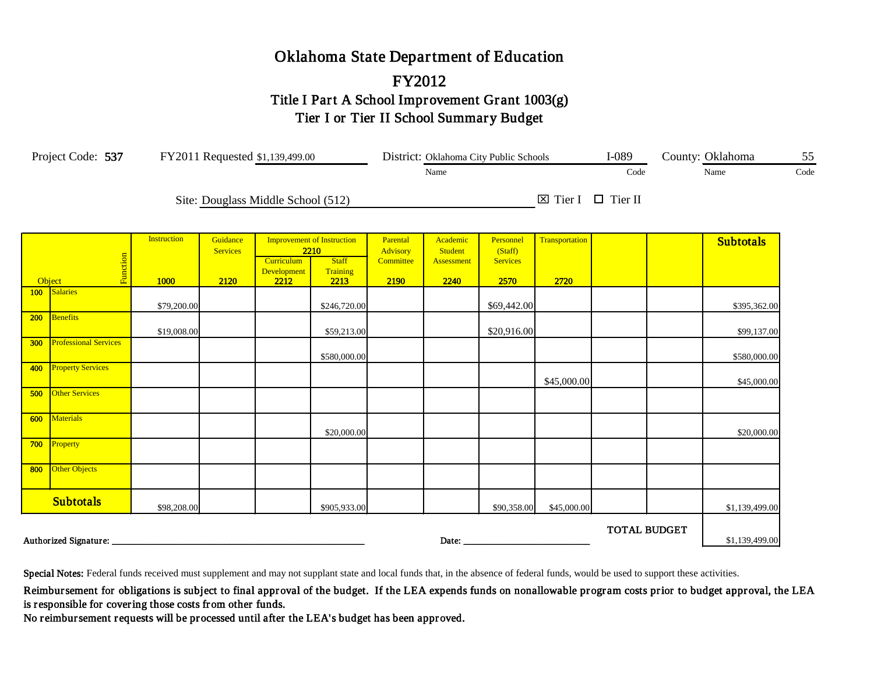## Oklahoma State Department of Education FY2012 Title I Part A School Improvement Grant 1003(g) Tier I or Tier II School Summary Budget

|        | Project Code: 537 FY2011 Requested \$1,139,499.00 |                    |                             |                                    |                                           |                      | District: Oklahoma City Public Schools |                         | $I-089$                           |                     | County: Oklahoma | 55               |  |
|--------|---------------------------------------------------|--------------------|-----------------------------|------------------------------------|-------------------------------------------|----------------------|----------------------------------------|-------------------------|-----------------------------------|---------------------|------------------|------------------|--|
|        |                                                   |                    | Name                        |                                    |                                           |                      |                                        |                         | Code                              |                     | Name             | Code             |  |
|        |                                                   |                    |                             | Site: Douglass Middle School (512) |                                           |                      |                                        |                         | $\boxtimes$ Tier I $\Box$ Tier II |                     |                  |                  |  |
|        |                                                   | <b>Instruction</b> | Guidance<br><b>Services</b> |                                    | <b>Improvement of Instruction</b><br>2210 | Parental<br>Advisory | Academic<br><b>Student</b>             | Personnel<br>(Staff)    | Transportation                    |                     |                  | <b>Subtotals</b> |  |
| Object | Function                                          | 1000               | 2120                        | Curriculum<br>Development<br>2212  | <b>Staff</b><br>Training<br>2213          | Committee<br>2190    | Assessment<br>2240                     | <b>Services</b><br>2570 | 2720                              |                     |                  |                  |  |
| 100    | <b>Salaries</b>                                   | \$79,200.00        |                             |                                    | \$246,720.00                              |                      |                                        | \$69,442.00             |                                   |                     |                  | \$395,362.00     |  |
| 200    | Benefits                                          | \$19,008.00        |                             |                                    | \$59,213.00                               |                      |                                        | \$20,916.00             |                                   |                     |                  | \$99,137.00      |  |
| 300    | <b>Professional Services</b>                      |                    |                             |                                    | \$580,000.00                              |                      |                                        |                         |                                   |                     |                  | \$580,000.00     |  |
| 400    | <b>Property Services</b>                          |                    |                             |                                    |                                           |                      |                                        |                         | \$45,000.00                       |                     |                  | \$45,000.00      |  |
| 500    | <b>Other Services</b>                             |                    |                             |                                    |                                           |                      |                                        |                         |                                   |                     |                  |                  |  |
| 600    | Materials                                         |                    |                             |                                    | \$20,000.00                               |                      |                                        |                         |                                   |                     |                  | \$20,000.00      |  |
| 700    | Property                                          |                    |                             |                                    |                                           |                      |                                        |                         |                                   |                     |                  |                  |  |
| 800    | Other Objects                                     |                    |                             |                                    |                                           |                      |                                        |                         |                                   |                     |                  |                  |  |
|        | <b>Subtotals</b>                                  | \$98,208.00        |                             |                                    | \$905,933.00                              |                      |                                        | \$90,358.00             | \$45,000.00                       |                     |                  | \$1,139,499.00   |  |
|        | Authorized Signature:                             |                    |                             |                                    |                                           |                      | Date:                                  |                         |                                   | <b>TOTAL BUDGET</b> |                  | \$1,139,499.00   |  |

Special Notes: Federal funds received must supplement and may not supplant state and local funds that, in the absence of federal funds, would be used to support these activities.

Reimbursement for obligations is subject to final approval of the budget. If the LEA expends funds on nonallowable program costs prior to budget approval, the LEA is responsible for covering those costs from other funds.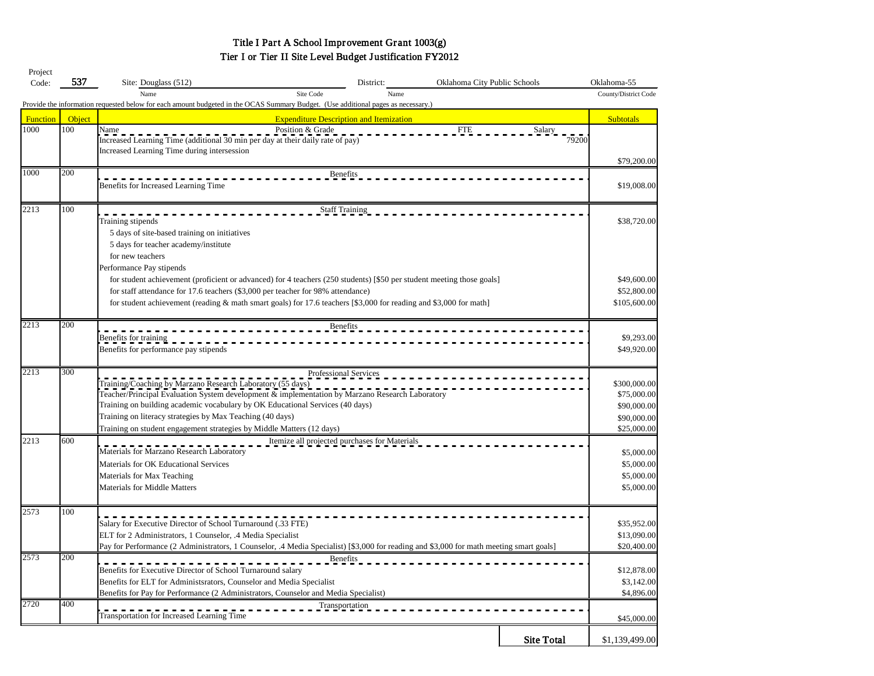## Title I Part A School Improvement Grant 1003(g) Tier I or Tier II Site Level Budget Justification FY2012

| Project         |        |                                                                                                                                         |                              |                   |                      |
|-----------------|--------|-----------------------------------------------------------------------------------------------------------------------------------------|------------------------------|-------------------|----------------------|
| Code:           | 537    | Site: Douglass (512)<br>District:                                                                                                       | Oklahoma City Public Schools |                   | Oklahoma-55          |
|                 |        | Site Code<br>Name                                                                                                                       | Name                         |                   | County/District Code |
|                 |        | Provide the information requested below for each amount budgeted in the OCAS Summary Budget. (Use additional pages as necessary.)       |                              |                   |                      |
| <b>Function</b> | Object | <b>Expenditure Description and Itemization</b>                                                                                          |                              |                   | <b>Subtotals</b>     |
| 1000            | 100    | Name<br>Position & Grade                                                                                                                | <b>FTE</b>                   | Salary            |                      |
|                 |        | Increased Learning Time (additional 30 min per day at their daily rate of pay)                                                          |                              | 79200             |                      |
|                 |        | Increased Learning Time during intersession                                                                                             |                              |                   |                      |
|                 |        |                                                                                                                                         |                              |                   | \$79,200.00          |
| 1000            | 200    | <b>Benefits</b>                                                                                                                         |                              |                   |                      |
|                 |        | Benefits for Increased Learning Time                                                                                                    |                              |                   | \$19,008.00          |
|                 |        |                                                                                                                                         |                              |                   |                      |
| 2213            | 100    | <b>Staff Training</b>                                                                                                                   |                              |                   |                      |
|                 |        | Training stipends                                                                                                                       |                              |                   | \$38,720.00          |
|                 |        | 5 days of site-based training on initiatives                                                                                            |                              |                   |                      |
|                 |        | 5 days for teacher academy/institute                                                                                                    |                              |                   |                      |
|                 |        | for new teachers                                                                                                                        |                              |                   |                      |
|                 |        | Performance Pay stipends                                                                                                                |                              |                   |                      |
|                 |        | for student achievement (proficient or advanced) for 4 teachers (250 students) [\$50 per student meeting those goals]                   |                              |                   | \$49,600.00          |
|                 |        | for staff attendance for 17.6 teachers (\$3,000 per teacher for 98% attendance)                                                         |                              |                   | \$52,800.00          |
|                 |        | for student achievement (reading & math smart goals) for 17.6 teachers [\$3,000 for reading and \$3,000 for math]                       |                              |                   | \$105,600.00         |
|                 |        |                                                                                                                                         |                              |                   |                      |
| 2213            | 200    | Benefits                                                                                                                                |                              |                   |                      |
|                 |        | Benefits for training                                                                                                                   |                              |                   | \$9,293.00           |
|                 |        | Benefits for performance pay stipends                                                                                                   |                              |                   | \$49,920.00          |
|                 |        |                                                                                                                                         |                              |                   |                      |
| 2213            | 300    | Professional Services                                                                                                                   |                              |                   |                      |
|                 |        | Training/Coaching by Marzano Research Laboratory (55 days)                                                                              |                              |                   | \$300,000.00         |
|                 |        | Teacher/Principal Evaluation System development & implementation by Marzano Research Laboratory                                         |                              |                   | \$75,000.00          |
|                 |        | Training on building academic vocabulary by OK Educational Services (40 days)                                                           |                              |                   | \$90,000.00          |
|                 |        | Training on literacy strategies by Max Teaching (40 days)                                                                               |                              |                   | \$90,000.00          |
|                 |        | Training on student engagement strategies by Middle Matters (12 days)                                                                   |                              |                   | \$25,000.00          |
| 2213            | 600    | Itemize all projected purchases for Materials                                                                                           |                              |                   |                      |
|                 |        | Materials for Marzano Research Laboratory                                                                                               |                              |                   | \$5,000.00           |
|                 |        | Materials for OK Educational Services                                                                                                   |                              |                   | \$5,000.00           |
|                 |        | Materials for Max Teaching                                                                                                              |                              |                   | \$5,000.00           |
|                 |        | <b>Materials for Middle Matters</b>                                                                                                     |                              |                   | \$5,000.00           |
|                 |        |                                                                                                                                         |                              |                   |                      |
| 2573            | 100    |                                                                                                                                         |                              |                   |                      |
|                 |        | Salary for Executive Director of School Turnaround (.33 FTE)                                                                            |                              |                   | \$35,952.00          |
|                 |        | ELT for 2 Administrators, 1 Counselor, .4 Media Specialist                                                                              |                              |                   | \$13,090.00          |
|                 |        | Pay for Performance (2 Administrators, 1 Counselor, .4 Media Specialist) [\$3,000 for reading and \$3,000 for math meeting smart goals] |                              |                   | \$20,400.00          |
| 2573            | 200    | <b>Benefits</b>                                                                                                                         |                              |                   |                      |
|                 |        | Benefits for Executive Director of School Turnaround salary                                                                             |                              |                   | \$12,878.00          |
|                 |        | Benefits for ELT for Administsrators, Counselor and Media Specialist                                                                    |                              |                   | \$3,142.00           |
|                 |        | Benefits for Pay for Performance (2 Administrators, Counselor and Media Specialist)                                                     |                              |                   | \$4,896.00           |
| 2720            | 400    | Transportation                                                                                                                          |                              |                   |                      |
|                 |        | Transportation for Increased Learning Time                                                                                              |                              |                   | \$45,000.00          |
|                 |        |                                                                                                                                         |                              |                   |                      |
|                 |        |                                                                                                                                         |                              | <b>Site Total</b> | \$1,139,499.00       |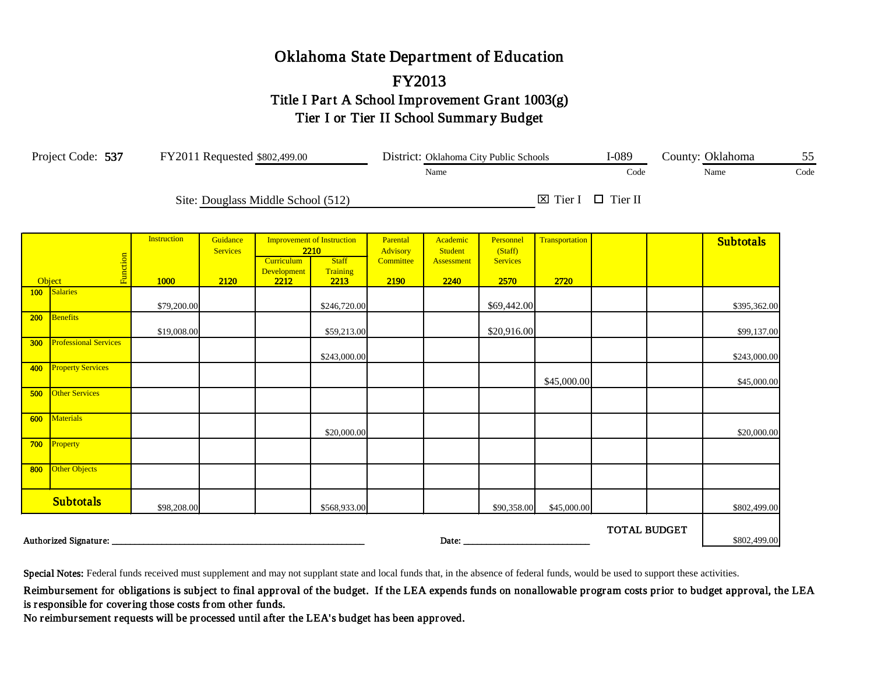## Oklahoma State Department of Education FY2013 Title I Part A School Improvement Grant 1003(g) Tier I or Tier II School Summary Budget

| Project Code: 537<br>FY2011 Requested \$802,499.00 |                              |                    |                             |                                    |                                           |                      |                     | District: Oklahoma City Public Schools | $I-089$                           | County: Oklahoma    |  | 55               |      |
|----------------------------------------------------|------------------------------|--------------------|-----------------------------|------------------------------------|-------------------------------------------|----------------------|---------------------|----------------------------------------|-----------------------------------|---------------------|--|------------------|------|
|                                                    |                              |                    |                             |                                    |                                           |                      | Name                |                                        |                                   | Code                |  | Name             | Code |
|                                                    |                              |                    |                             | Site: Douglass Middle School (512) |                                           |                      |                     |                                        | $\boxtimes$ Tier I $\Box$ Tier II |                     |  |                  |      |
|                                                    |                              | <b>Instruction</b> | Guidance<br><b>Services</b> |                                    | <b>Improvement of Instruction</b><br>2210 | Parental<br>Advisory | Academic<br>Student | Personnel<br>(Staff)                   | Transportation                    |                     |  | <b>Subtotals</b> |      |
| Object                                             | Function                     | 1000               | 2120                        | Curriculum<br>Development<br>2212  | <b>Staff</b><br>Training<br>2213          | Committee<br>2190    | Assessment<br>2240  | <b>Services</b><br>2570                | 2720                              |                     |  |                  |      |
| 100 <sub>1</sub>                                   | Salaries                     | \$79,200.00        |                             |                                    | \$246,720.00                              |                      |                     | \$69,442.00                            |                                   |                     |  | \$395,362.00     |      |
| 200                                                | Benefits                     | \$19,008.00        |                             |                                    | \$59,213.00                               |                      |                     | \$20,916.00                            |                                   |                     |  | \$99,137.00      |      |
| 300                                                | <b>Professional Services</b> |                    |                             |                                    | \$243,000.00                              |                      |                     |                                        |                                   |                     |  | \$243,000.00     |      |
| 400                                                | <b>Property Services</b>     |                    |                             |                                    |                                           |                      |                     |                                        | \$45,000.00                       |                     |  | \$45,000.00      |      |
| 500                                                | <b>Other Services</b>        |                    |                             |                                    |                                           |                      |                     |                                        |                                   |                     |  |                  |      |
| 600                                                | Materials                    |                    |                             |                                    | \$20,000.00                               |                      |                     |                                        |                                   |                     |  | \$20,000.00      |      |
| 700                                                | Property                     |                    |                             |                                    |                                           |                      |                     |                                        |                                   |                     |  |                  |      |
| 800                                                | Other Objects                |                    |                             |                                    |                                           |                      |                     |                                        |                                   |                     |  |                  |      |
|                                                    | <b>Subtotals</b>             | \$98,208.00        |                             |                                    | \$568,933.00                              |                      |                     | \$90,358.00                            | \$45,000.00                       |                     |  | \$802,499.00     |      |
|                                                    | Authorized Signature:        |                    |                             |                                    |                                           |                      | Date:               |                                        |                                   | <b>TOTAL BUDGET</b> |  | \$802,499.00     |      |

Special Notes: Federal funds received must supplement and may not supplant state and local funds that, in the absence of federal funds, would be used to support these activities.

Reimbursement for obligations is subject to final approval of the budget. If the LEA expends funds on nonallowable program costs prior to budget approval, the LEA is responsible for covering those costs from other funds.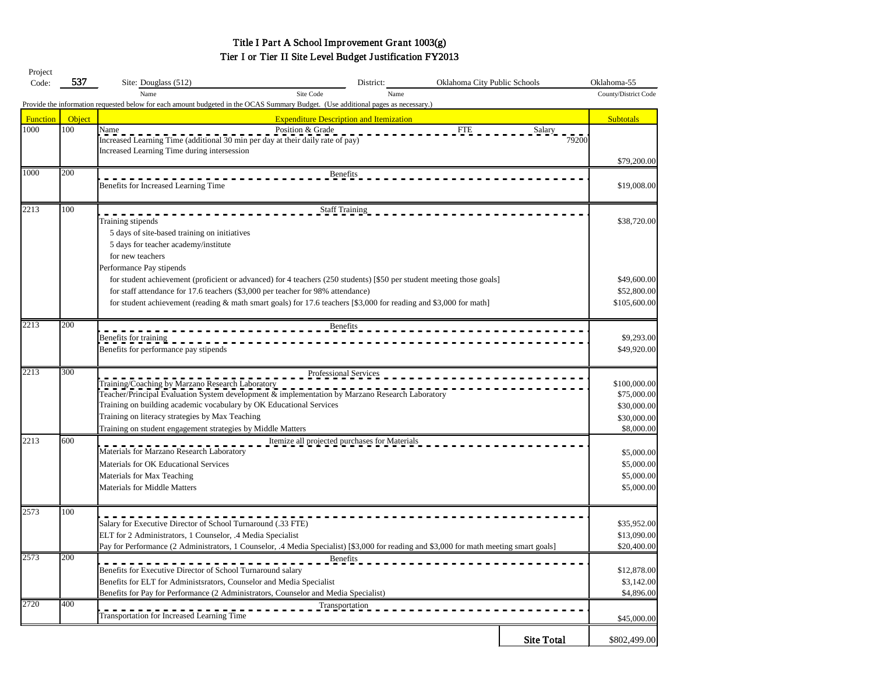## Title I Part A School Improvement Grant 1003(g) Tier I or Tier II Site Level Budget Justification FY2013

| Project         |        |                                                                                                                                         |                              |                   |                      |
|-----------------|--------|-----------------------------------------------------------------------------------------------------------------------------------------|------------------------------|-------------------|----------------------|
| Code:           | 537    | Site: Douglass (512)<br>District:                                                                                                       | Oklahoma City Public Schools |                   | Oklahoma-55          |
|                 |        | Site Code<br>Name                                                                                                                       | Name                         |                   | County/District Code |
|                 |        | Provide the information requested below for each amount budgeted in the OCAS Summary Budget. (Use additional pages as necessary.)       |                              |                   |                      |
| <b>Function</b> | Object | <b>Expenditure Description and Itemization</b>                                                                                          |                              |                   | <b>Subtotals</b>     |
| 1000            | 100    | Name<br>Position & Grade                                                                                                                | <b>FTE</b>                   | Salary            |                      |
|                 |        | Increased Learning Time (additional 30 min per day at their daily rate of pay)                                                          |                              | 79200             |                      |
|                 |        | Increased Learning Time during intersession                                                                                             |                              |                   |                      |
|                 |        |                                                                                                                                         |                              |                   | \$79,200.00          |
| 1000            | 200    | <b>Benefits</b>                                                                                                                         |                              |                   |                      |
|                 |        | Benefits for Increased Learning Time                                                                                                    |                              |                   | \$19,008.00          |
|                 |        |                                                                                                                                         |                              |                   |                      |
| 2213            | 100    | <b>Staff Training</b>                                                                                                                   |                              |                   |                      |
|                 |        | Training stipends                                                                                                                       |                              |                   | \$38,720.00          |
|                 |        | 5 days of site-based training on initiatives                                                                                            |                              |                   |                      |
|                 |        | 5 days for teacher academy/institute                                                                                                    |                              |                   |                      |
|                 |        | for new teachers                                                                                                                        |                              |                   |                      |
|                 |        | Performance Pay stipends                                                                                                                |                              |                   |                      |
|                 |        | for student achievement (proficient or advanced) for 4 teachers (250 students) [\$50 per student meeting those goals]                   |                              |                   | \$49,600.00          |
|                 |        | for staff attendance for 17.6 teachers (\$3,000 per teacher for 98% attendance)                                                         |                              |                   | \$52,800.00          |
|                 |        | for student achievement (reading & math smart goals) for 17.6 teachers [\$3,000 for reading and \$3,000 for math]                       |                              |                   | \$105,600.00         |
|                 |        |                                                                                                                                         |                              |                   |                      |
| 2213            | 200    | Benefits                                                                                                                                |                              |                   |                      |
|                 |        | Benefits for training                                                                                                                   |                              |                   | \$9,293.00           |
|                 |        | Benefits for performance pay stipends                                                                                                   |                              |                   | \$49,920.00          |
|                 |        |                                                                                                                                         |                              |                   |                      |
| 2213            | 300    | Professional Services                                                                                                                   |                              |                   |                      |
|                 |        | Training/Coaching by Marzano Research Laboratory                                                                                        |                              |                   | \$100,000.00         |
|                 |        | Teacher/Principal Evaluation System development & implementation by Marzano Research Laboratory                                         |                              |                   | \$75,000.00          |
|                 |        | Training on building academic vocabulary by OK Educational Services                                                                     |                              |                   | \$30,000.00          |
|                 |        | Training on literacy strategies by Max Teaching                                                                                         |                              |                   | \$30,000.00          |
|                 |        | Training on student engagement strategies by Middle Matters                                                                             |                              |                   | \$8,000.00           |
| 2213            | 600    | Itemize all projected purchases for Materials                                                                                           |                              |                   |                      |
|                 |        | Materials for Marzano Research Laboratory                                                                                               |                              |                   | \$5,000.00           |
|                 |        | Materials for OK Educational Services                                                                                                   |                              |                   | \$5,000.00           |
|                 |        | Materials for Max Teaching                                                                                                              |                              |                   | \$5,000.00           |
|                 |        | <b>Materials for Middle Matters</b>                                                                                                     |                              |                   | \$5,000.00           |
|                 |        |                                                                                                                                         |                              |                   |                      |
| 2573            | 100    |                                                                                                                                         |                              |                   |                      |
|                 |        | Salary for Executive Director of School Turnaround (.33 FTE)                                                                            |                              |                   | \$35,952.00          |
|                 |        | ELT for 2 Administrators, 1 Counselor, .4 Media Specialist                                                                              |                              |                   | \$13,090.00          |
|                 |        | Pay for Performance (2 Administrators, 1 Counselor, .4 Media Specialist) [\$3,000 for reading and \$3,000 for math meeting smart goals] |                              |                   | \$20,400.00          |
| 2573            | 200    | <b>Benefits</b>                                                                                                                         |                              |                   |                      |
|                 |        | Benefits for Executive Director of School Turnaround salary                                                                             |                              |                   | \$12,878.00          |
|                 |        | Benefits for ELT for Administsrators, Counselor and Media Specialist                                                                    |                              |                   | \$3,142.00           |
|                 |        | Benefits for Pay for Performance (2 Administrators, Counselor and Media Specialist)                                                     |                              |                   | \$4,896.00           |
| 2720            | 400    | Transportation                                                                                                                          |                              |                   |                      |
|                 |        | Transportation for Increased Learning Time                                                                                              |                              |                   | \$45,000.00          |
|                 |        |                                                                                                                                         |                              |                   |                      |
|                 |        |                                                                                                                                         |                              | <b>Site Total</b> | \$802,499.00         |